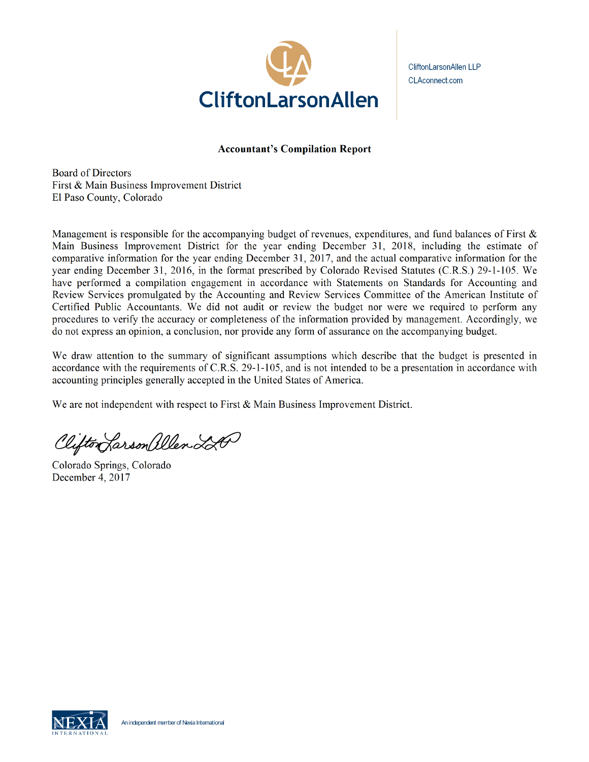

CliftonLarsonAllen LLP **P** CLAconnect.com

## Accountant's Compilation Report

Board of Directors First & Main Business Improvement District El Paso County, Colorado

Management is responsible for the accompanying budget of revenues, expenditures, and fund balances of First  $\&$ Main Business Improvement District for the year ending December 31, 2018, including the estimate of comparative information for the year ending December 31, 2017, and the actual comparative information for the year ending December 31, 2016, in the format prescribed by Colorado Revised Statutes (C.R.S.) *29-1-105.* We have performed a compilation engagement in accordance with Statements on Standards for Accounting and Review Services promulgated by the Accounting and Review Services Committee of the American Institute of Certified Public Accountants. We did not audit or review the budget nor were we required to perform any procedures to verify the accuracy or completeness of the information provided by management. Accordingly, we do not express an opinion, a conclusion, nor provide any form of assurance on the accompanying budget.

We draw attention to the summary of significant assumptions which describe that the budget is presented in accordance with the requirements of C.R.S. 29-1-105, and is not intended to be a presentation in accordance with accounting principles generally accepted in the United States of America.

We are not independent with respect to First & Main Business Improvement District.

Clifton Larson allen 220

Colorado Springs, Colorado December 4, 2017

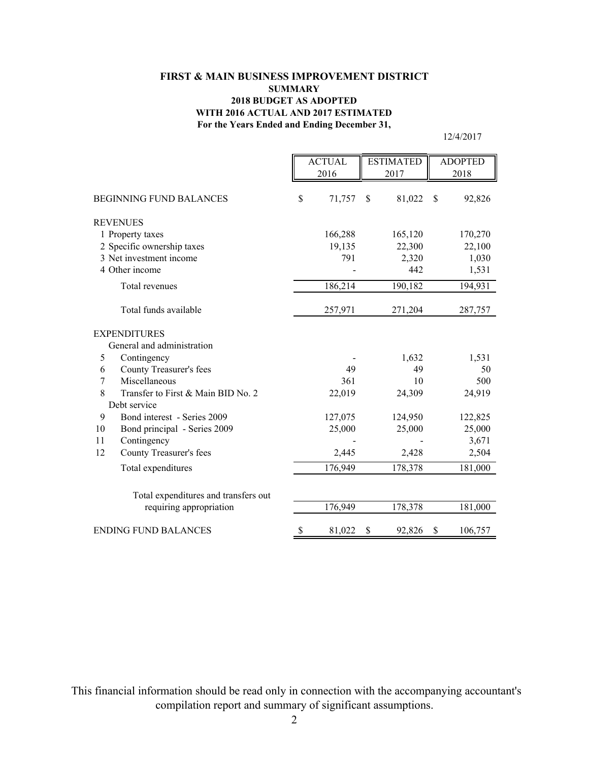## **For the Years Ended and Ending December 31, FIRST & MAIN BUSINESS IMPROVEMENT DISTRICT SUMMARY 2018 BUDGET AS ADOPTED WITH 2016 ACTUAL AND 2017 ESTIMATED**

12/4/2017

|                                         | <b>ACTUAL</b> |         | <b>ESTIMATED</b> |         | <b>ADOPTED</b> |
|-----------------------------------------|---------------|---------|------------------|---------|----------------|
|                                         |               | 2016    |                  | 2017    | 2018           |
|                                         |               |         |                  |         |                |
| <b>BEGINNING FUND BALANCES</b>          | \$            | 71,757  | \$               | 81,022  | \$<br>92,826   |
| <b>REVENUES</b>                         |               |         |                  |         |                |
| 1 Property taxes                        |               | 166,288 |                  | 165,120 | 170,270        |
| 2 Specific ownership taxes              |               | 19,135  |                  | 22,300  | 22,100         |
| 3 Net investment income                 |               | 791     |                  | 2,320   | 1,030          |
| 4 Other income                          |               |         |                  | 442     | 1,531          |
| Total revenues                          |               | 186,214 |                  | 190,182 | 194,931        |
| Total funds available                   |               | 257,971 |                  | 271,204 | 287,757        |
| <b>EXPENDITURES</b>                     |               |         |                  |         |                |
| General and administration              |               |         |                  |         |                |
| 5<br>Contingency                        |               |         |                  | 1,632   | 1,531          |
| County Treasurer's fees<br>6            |               | 49      |                  | 49      | 50             |
| Miscellaneous<br>$\overline{7}$         |               | 361     |                  | 10      | 500            |
| 8<br>Transfer to First & Main BID No. 2 |               | 22,019  |                  | 24,309  | 24,919         |
| Debt service                            |               |         |                  |         |                |
| Bond interest - Series 2009<br>9        |               | 127,075 |                  | 124,950 | 122,825        |
| 10<br>Bond principal - Series 2009      |               | 25,000  |                  | 25,000  | 25,000         |
| 11<br>Contingency                       |               |         |                  |         | 3,671          |
| 12<br>County Treasurer's fees           |               | 2,445   |                  | 2,428   | 2,504          |
| Total expenditures                      |               | 176,949 |                  | 178,378 | 181,000        |
|                                         |               |         |                  |         |                |
| Total expenditures and transfers out    |               |         |                  |         |                |
| requiring appropriation                 |               | 176,949 |                  | 178,378 | 181,000        |
| <b>ENDING FUND BALANCES</b>             | \$            | 81,022  | \$               | 92,826  | \$<br>106,757  |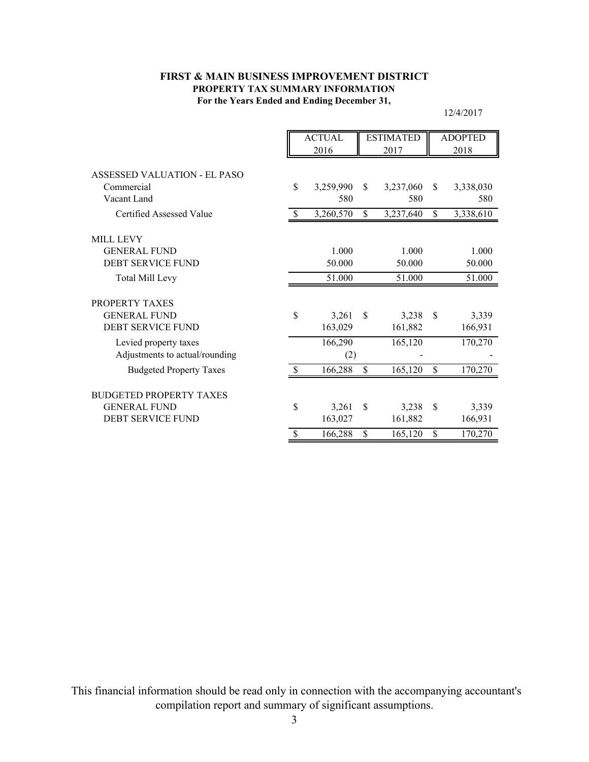## **For the Years Ended and Ending December 31, FIRST & MAIN BUSINESS IMPROVEMENT DISTRICT PROPERTY TAX SUMMARY INFORMATION**

12/4/2017

|                                | <b>ACTUAL</b> |           | <b>ESTIMATED</b> |           | <b>ADOPTED</b> |           |  |
|--------------------------------|---------------|-----------|------------------|-----------|----------------|-----------|--|
|                                |               | 2016      |                  | 2017      |                | 2018      |  |
|                                |               |           |                  |           |                |           |  |
| ASSESSED VALUATION - EL PASO   |               |           |                  |           |                |           |  |
| Commercial                     | \$            | 3,259,990 | <sup>\$</sup>    | 3,237,060 | <sup>\$</sup>  | 3,338,030 |  |
| Vacant Land                    |               | 580       |                  | 580       |                | 580       |  |
| Certified Assessed Value       | <sup>\$</sup> | 3,260,570 | \$               | 3,237,640 | \$             | 3,338,610 |  |
| <b>MILL LEVY</b>               |               |           |                  |           |                |           |  |
| <b>GENERAL FUND</b>            |               | 1.000     |                  | 1.000     |                | 1.000     |  |
| <b>DEBT SERVICE FUND</b>       |               | 50.000    |                  | 50.000    |                | 50.000    |  |
| <b>Total Mill Levy</b>         |               | 51.000    |                  | 51.000    |                | 51.000    |  |
| PROPERTY TAXES                 |               |           |                  |           |                |           |  |
| <b>GENERAL FUND</b>            | \$            | 3,261     | \$               | 3,238     | <sup>\$</sup>  | 3,339     |  |
| <b>DEBT SERVICE FUND</b>       |               | 163,029   |                  | 161,882   |                | 166,931   |  |
| Levied property taxes          |               | 166,290   |                  | 165,120   |                | 170,270   |  |
| Adjustments to actual/rounding |               | (2)       |                  |           |                |           |  |
| <b>Budgeted Property Taxes</b> | <sup>\$</sup> | 166,288   | \$               | 165,120   | \$             | 170,270   |  |
| <b>BUDGETED PROPERTY TAXES</b> |               |           |                  |           |                |           |  |
| <b>GENERAL FUND</b>            | \$            | 3,261     | \$               | 3,238     | \$             | 3,339     |  |
| DEBT SERVICE FUND              |               | 163,027   |                  | 161,882   |                | 166,931   |  |
|                                | $\mathcal{S}$ | 166,288   | \$               | 165,120   | \$             | 170,270   |  |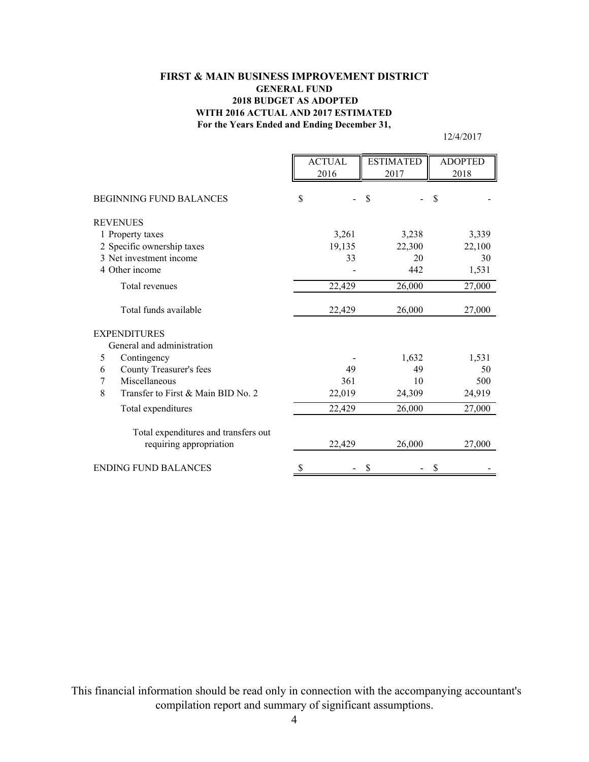## **For the Years Ended and Ending December 31, FIRST & MAIN BUSINESS IMPROVEMENT DISTRICT GENERAL FUND 2018 BUDGET AS ADOPTED WITH 2016 ACTUAL AND 2017 ESTIMATED**

12/4/2017

|                                         | <b>ACTUAL</b> | <b>ESTIMATED</b> | <b>ADOPTED</b> |
|-----------------------------------------|---------------|------------------|----------------|
|                                         | 2016          | 2017             | 2018           |
|                                         |               |                  |                |
| <b>BEGINNING FUND BALANCES</b>          | \$            | \$               | \$             |
| <b>REVENUES</b>                         |               |                  |                |
| 1 Property taxes                        | 3,261         | 3,238            | 3,339          |
| 2 Specific ownership taxes              | 19,135        | 22,300           | 22,100         |
| 3 Net investment income                 | 33            | 20               | 30             |
| 4 Other income                          |               | 442              | 1,531          |
| Total revenues                          | 22,429        | 26,000           | 27,000         |
| Total funds available                   | 22,429        | 26,000           | 27,000         |
| <b>EXPENDITURES</b>                     |               |                  |                |
| General and administration              |               |                  |                |
| 5<br>Contingency                        |               | 1,632            | 1,531          |
| County Treasurer's fees<br>6            | 49            | 49               | 50             |
| Miscellaneous<br>7                      | 361           | 10               | 500            |
| 8<br>Transfer to First & Main BID No. 2 | 22,019        | 24,309           | 24,919         |
| Total expenditures                      | 22,429        | 26,000           | 27,000         |
| Total expenditures and transfers out    |               |                  |                |
| requiring appropriation                 | 22,429        | 26,000           | 27,000         |
| <b>ENDING FUND BALANCES</b>             | \$            |                  | \$             |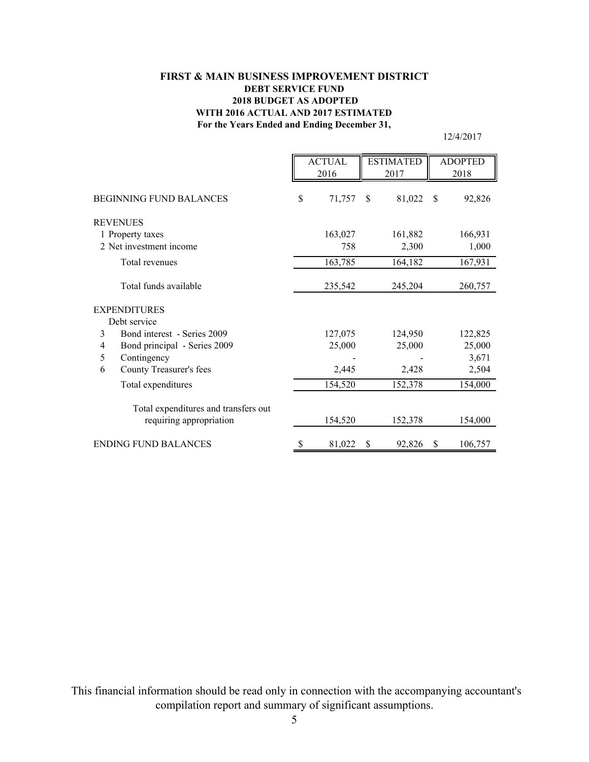## **For the Years Ended and Ending December 31, FIRST & MAIN BUSINESS IMPROVEMENT DISTRICT DEBT SERVICE FUND 2018 BUDGET AS ADOPTED WITH 2016 ACTUAL AND 2017 ESTIMATED**

12/4/2017

|                                                                 | <b>ACTUAL</b><br>2016 |    | <b>ESTIMATED</b><br>2017 |               | <b>ADOPTED</b><br>2018 |
|-----------------------------------------------------------------|-----------------------|----|--------------------------|---------------|------------------------|
| <b>BEGINNING FUND BALANCES</b>                                  | \$<br>71,757          | \$ | 81,022                   | <sup>\$</sup> | 92,826                 |
| <b>REVENUES</b>                                                 |                       |    |                          |               |                        |
| 1 Property taxes                                                | 163,027               |    | 161,882                  |               | 166,931                |
| 2 Net investment income                                         | 758                   |    | 2,300                    |               | 1,000                  |
| Total revenues                                                  | 163,785               |    | 164,182                  |               | 167,931                |
| Total funds available                                           | 235,542               |    | 245,204                  |               | 260,757                |
| <b>EXPENDITURES</b>                                             |                       |    |                          |               |                        |
| Debt service                                                    |                       |    |                          |               |                        |
| Bond interest - Series 2009<br>3                                | 127,075               |    | 124,950                  |               | 122,825                |
| Bond principal - Series 2009<br>4                               | 25,000                |    | 25,000                   |               | 25,000                 |
| Contingency<br>5                                                |                       |    |                          |               | 3,671                  |
| 6<br>County Treasurer's fees                                    | 2,445                 |    | 2,428                    |               | 2,504                  |
| Total expenditures                                              | 154,520               |    | 152,378                  |               | 154,000                |
| Total expenditures and transfers out<br>requiring appropriation | 154,520               |    | 152,378                  |               | 154,000                |
| <b>ENDING FUND BALANCES</b>                                     | \$<br>81,022          | S  | 92,826                   | S             | 106,757                |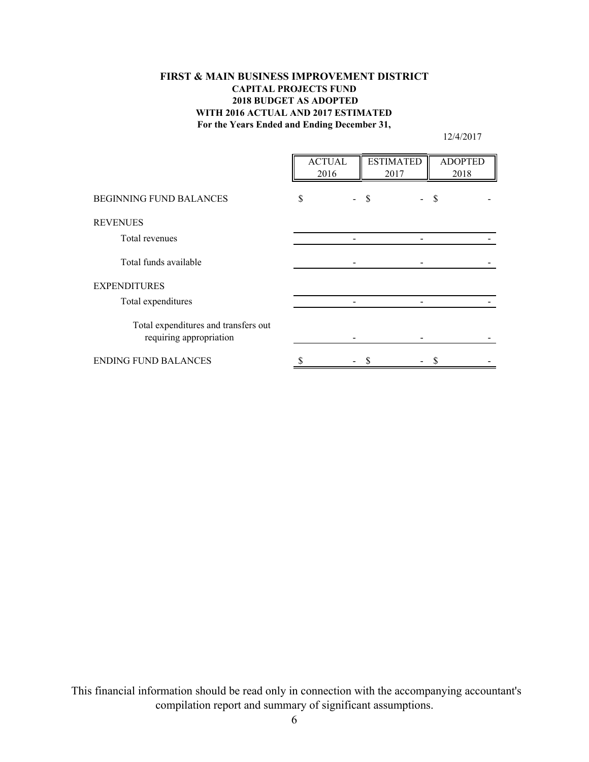## **For the Years Ended and Ending December 31, FIRST & MAIN BUSINESS IMPROVEMENT DISTRICT CAPITAL PROJECTS FUND 2018 BUDGET AS ADOPTED WITH 2016 ACTUAL AND 2017 ESTIMATED**

12/4/2017

|                                                                 | <b>ACTUAL</b><br>2016 | <b>ESTIMATED</b><br>2017 | <b>ADOPTED</b><br>2018 |  |
|-----------------------------------------------------------------|-----------------------|--------------------------|------------------------|--|
| <b>BEGINNING FUND BALANCES</b>                                  | S                     |                          | S                      |  |
| <b>REVENUES</b>                                                 |                       |                          |                        |  |
| Total revenues                                                  |                       |                          |                        |  |
| Total funds available                                           |                       |                          |                        |  |
| <b>EXPENDITURES</b>                                             |                       |                          |                        |  |
| Total expenditures                                              |                       |                          |                        |  |
| Total expenditures and transfers out<br>requiring appropriation |                       |                          |                        |  |
| <b>ENDING FUND BALANCES</b>                                     |                       |                          |                        |  |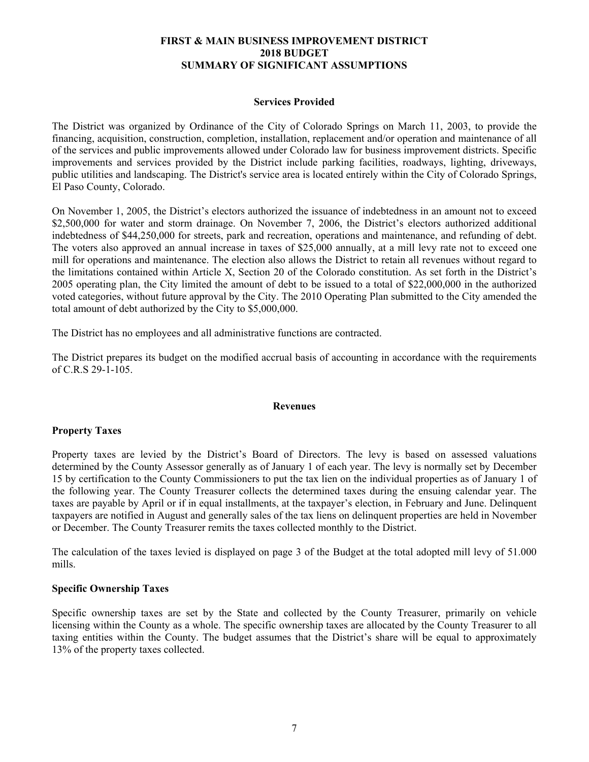### **FIRST & MAIN BUSINESS IMPROVEMENT DISTRICT 2018 BUDGET SUMMARY OF SIGNIFICANT ASSUMPTIONS**

#### **Services Provided**

The District was organized by Ordinance of the City of Colorado Springs on March 11, 2003, to provide the financing, acquisition, construction, completion, installation, replacement and/or operation and maintenance of all of the services and public improvements allowed under Colorado law for business improvement districts. Specific improvements and services provided by the District include parking facilities, roadways, lighting, driveways, public utilities and landscaping. The District's service area is located entirely within the City of Colorado Springs, El Paso County, Colorado.

On November 1, 2005, the District's electors authorized the issuance of indebtedness in an amount not to exceed \$2,500,000 for water and storm drainage. On November 7, 2006, the District's electors authorized additional indebtedness of \$44,250,000 for streets, park and recreation, operations and maintenance, and refunding of debt. The voters also approved an annual increase in taxes of \$25,000 annually, at a mill levy rate not to exceed one mill for operations and maintenance. The election also allows the District to retain all revenues without regard to the limitations contained within Article X, Section 20 of the Colorado constitution. As set forth in the District's 2005 operating plan, the City limited the amount of debt to be issued to a total of \$22,000,000 in the authorized voted categories, without future approval by the City. The 2010 Operating Plan submitted to the City amended the total amount of debt authorized by the City to \$5,000,000.

The District has no employees and all administrative functions are contracted.

The District prepares its budget on the modified accrual basis of accounting in accordance with the requirements of C.R.S 29-1-105.

#### **Revenues**

#### **Property Taxes**

Property taxes are levied by the District's Board of Directors. The levy is based on assessed valuations determined by the County Assessor generally as of January 1 of each year. The levy is normally set by December 15 by certification to the County Commissioners to put the tax lien on the individual properties as of January 1 of the following year. The County Treasurer collects the determined taxes during the ensuing calendar year. The taxes are payable by April or if in equal installments, at the taxpayer's election, in February and June. Delinquent taxpayers are notified in August and generally sales of the tax liens on delinquent properties are held in November or December. The County Treasurer remits the taxes collected monthly to the District.

The calculation of the taxes levied is displayed on page 3 of the Budget at the total adopted mill levy of 51.000 mills.

#### **Specific Ownership Taxes**

Specific ownership taxes are set by the State and collected by the County Treasurer, primarily on vehicle licensing within the County as a whole. The specific ownership taxes are allocated by the County Treasurer to all taxing entities within the County. The budget assumes that the District's share will be equal to approximately 13% of the property taxes collected.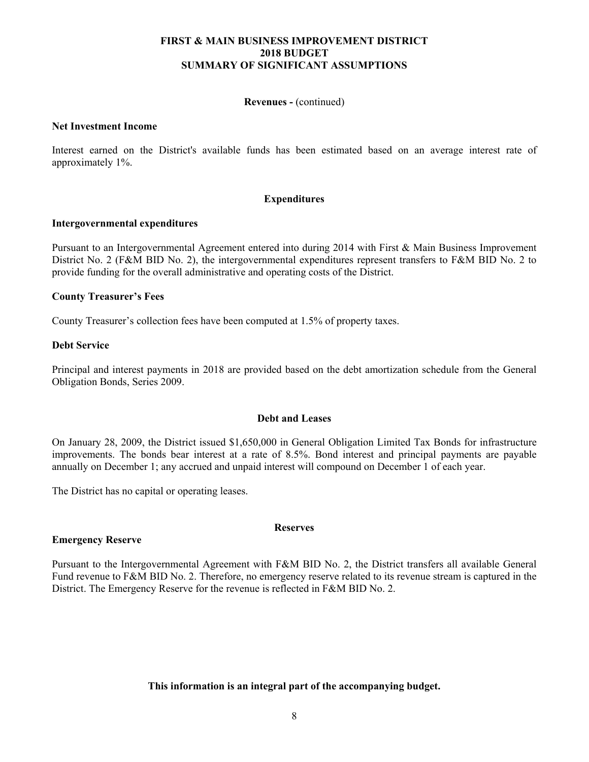### **FIRST & MAIN BUSINESS IMPROVEMENT DISTRICT 2018 BUDGET SUMMARY OF SIGNIFICANT ASSUMPTIONS**

#### **Revenues -** (continued)

#### **Net Investment Income**

Interest earned on the District's available funds has been estimated based on an average interest rate of approximately 1%.

#### **Expenditures**

#### **Intergovernmental expenditures**

Pursuant to an Intergovernmental Agreement entered into during 2014 with First & Main Business Improvement District No. 2 (F&M BID No. 2), the intergovernmental expenditures represent transfers to F&M BID No. 2 to provide funding for the overall administrative and operating costs of the District.

#### **County Treasurer's Fees**

County Treasurer's collection fees have been computed at 1.5% of property taxes.

#### **Debt Service**

Principal and interest payments in 2018 are provided based on the debt amortization schedule from the General Obligation Bonds, Series 2009.

#### **Debt and Leases**

On January 28, 2009, the District issued \$1,650,000 in General Obligation Limited Tax Bonds for infrastructure improvements. The bonds bear interest at a rate of 8.5%. Bond interest and principal payments are payable annually on December 1; any accrued and unpaid interest will compound on December 1 of each year.

The District has no capital or operating leases.

#### **Reserves**

#### **Emergency Reserve**

Pursuant to the Intergovernmental Agreement with F&M BID No. 2, the District transfers all available General Fund revenue to F&M BID No. 2. Therefore, no emergency reserve related to its revenue stream is captured in the District. The Emergency Reserve for the revenue is reflected in F&M BID No. 2.

## **This information is an integral part of the accompanying budget.**